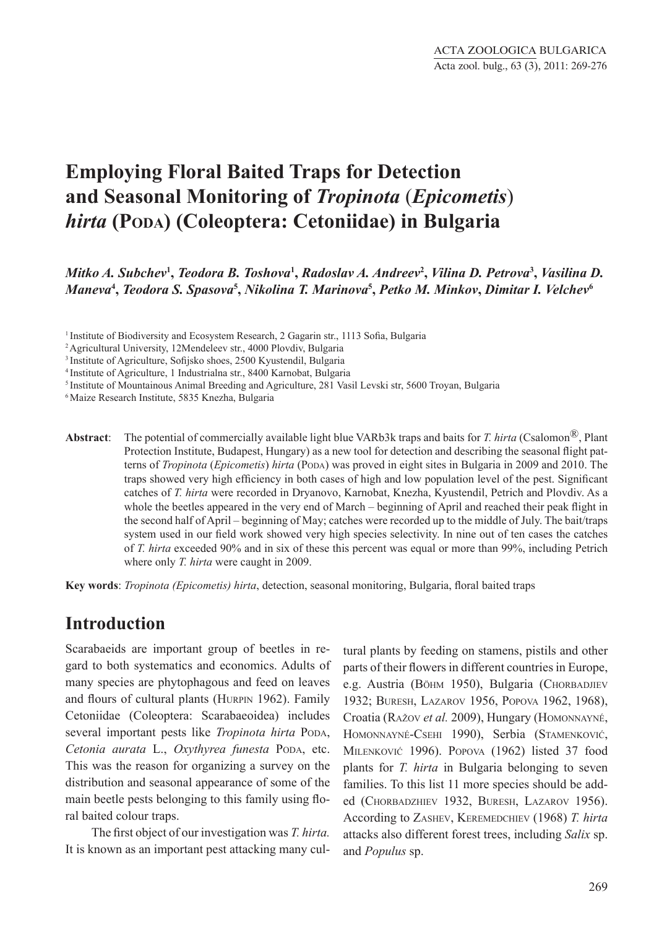# **Employing Floral Baited Traps for Detection and Seasonal Monitoring of** *Tropinota* (*Epicometis*) *hirta* **(Poda) (Coleoptera: Cetoniidae) in Bulgaria**

*Mitko A. Subchev***<sup>1</sup> ,** *Teodora B. Toshova***<sup>1</sup> ,** *Radoslav A. Andreev***<sup>2</sup> ,** *Vilina D. Petrova***<sup>3</sup> ,** *Vasilina D. Maneva***<sup>4</sup> ,** *Teodora S. Spasova***<sup>5</sup> ,** *Nikolina T. Marinova***<sup>5</sup> ,** *Petko M. Minkov***,** *Dimitar I. Velchev***<sup>6</sup>**

<sup>1</sup> Institute of Biodiversity and Ecosystem Research, 2 Gagarin str., 1113 Sofia, Bulgaria

2 Agricultural University, 12Mendeleev str., 4000 Plovdiv, Bulgaria

5 Institute of Mountainous Animal Breeding and Agriculture, 281 Vasil Levski str, 5600 Troyan, Bulgaria

<sup>6</sup>Maize Research Institute, 5835 Knezha, Bulgaria

**Abstract**: The potential of commercially available light blue VARb3k traps and baits for *T. hirta* (Csalomon®, Plant Protection Institute, Budapest, Hungary) as a new tool for detection and describing the seasonal flight patterns of *Tropinota* (*Epicometis*) *hirta* (Poda) was proved in eight sites in Bulgaria in 2009 and 2010. The traps showed very high efficiency in both cases of high and low population level of the pest. Significant catches of *T. hirta* were recorded in Dryanovo, Karnobat, Knezha, Kyustendil, Petrich and Plovdiv. As a whole the beetles appeared in the very end of March – beginning of April and reached their peak flight in the second half of April – beginning of May; catches were recorded up to the middle of July. The bait/traps system used in our field work showed very high species selectivity. In nine out of ten cases the catches of *T. hirta* exceeded 90% and in six of these this percent was equal or more than 99%, including Petrich where only *T. hirta* were caught in 2009.

**Key words**: *Tropinota (Epicometis) hirta*, detection, seasonal monitoring, Bulgaria, floral baited traps

#### **Introduction**

Scarabaeids are important group of beetles in regard to both systematics and economics. Adults of many species are phytophagous and feed on leaves and flours of cultural plants (Hurpin 1962). Family Cetoniidae (Coleoptera: Scarabaeoidea) includes several important pests like *Tropinota hirta* Popa, *Cetonia aurata* L., *Oxythyrea funesta* Poda, etc. This was the reason for organizing a survey on the distribution and seasonal appearance of some of the main beetle pests belonging to this family using floral baited colour traps.

The first object of our investigation was *T. hirta.*  It is known as an important pest attacking many cultural plants by feeding on stamens, pistils and other parts of their flowers in different countries in Europe, e.g. Austria (BöHM 1950), Bulgaria (CHORBADJIEV 1932; Buresh, Lazarov 1956, Popova 1962, 1968), Croatia (Ražov *et al.* 2009), Hungary (Homonnayné, Homonnayné-Csehi 1990), Serbia (Stamenković, Milenković 1996). Popova (1962) listed 37 food plants for *T. hirta* in Bulgaria belonging to seven families. To this list 11 more species should be added (Chorbadzhiev 1932, Buresh, Lazarov 1956). According to Zashev, Keremedchiev (1968) *T. hirta* attacks also different forest trees, including *Salix* sp. and *Populus* sp.

<sup>3</sup>Institute of Agriculture, Sofijsko shoes, 2500 Kyustendil, Bulgaria

<sup>4</sup>Institute of Agriculture, 1 Industrialna str., 8400 Karnobat, Bulgaria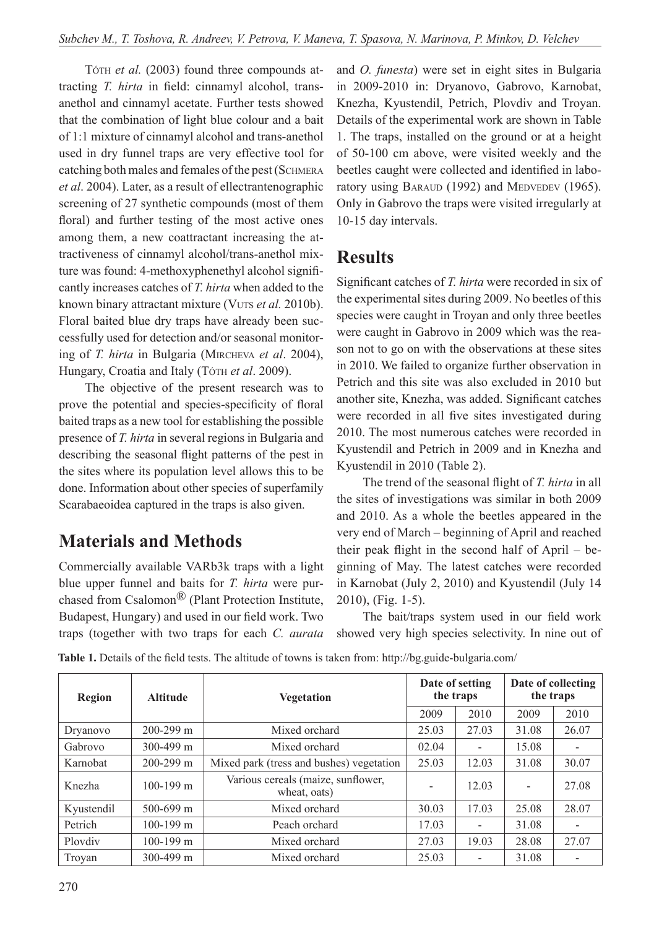Tóth *et al.* (2003) found three compounds attracting *T. hirta* in field: cinnamyl alcohol, transanethol and cinnamyl acetate. Further tests showed that the combination of light blue colour and a bait of 1:1 mixture of cinnamyl alcohol and trans-anethol used in dry funnel traps are very effective tool for catching both males and females of the pest (SCHMERA *et al*. 2004). Later, as a result of ellectrantenographic screening of 27 synthetic compounds (most of them floral) and further testing of the most active ones among them, a new coattractant increasing the attractiveness of cinnamyl alcohol/trans-anethol mixture was found: 4-methoxyphenethyl alcohol significantly increases catches of *T. hirta* when added to the known binary attractant mixture (VUTS *et al.* 2010b). Floral baited blue dry traps have already been successfully used for detection and/or seasonal monitoring of *T. hirta* in Bulgaria (Mircheva *et al*. 2004), Hungary, Croatia and Italy (Tóth *et al.* 2009).

The objective of the present research was to prove the potential and species-specificity of floral baited traps as a new tool for establishing the possible presence of *T. hirta* in several regions in Bulgaria and describing the seasonal flight patterns of the pest in the sites where its population level allows this to be done. Information about other species of superfamily Scarabaeoidea captured in the traps is also given.

# **Materials and Methods**

Commercially available VARb3k traps with a light blue upper funnel and baits for *T. hirta* were purchased from Csalomon® (Plant Protection Institute, Budapest, Hungary) and used in our field work. Two traps (together with two traps for each *C. aurata* and *O. funesta*) were set in eight sites in Bulgaria in 2009-2010 in: Dryanovo, Gabrovo, Karnobat, Knezha, Kyustendil, Petrich, Plovdiv and Troyan. Details of the experimental work are shown in Table 1. The traps, installed on the ground or at a height of 50-100 cm above, were visited weekly and the beetles caught were collected and identified in laboratory using BARAUD (1992) and MEDVEDEV (1965). Only in Gabrovo the traps were visited irregularly at 10-15 day intervals.

## **Results**

Significant catches of *T. hirta* were recorded in six of the experimental sites during 2009. No beetles of this species were caught in Troyan and only three beetles were caught in Gabrovo in 2009 which was the reason not to go on with the observations at these sites in 2010. We failed to organize further observation in Petrich and this site was also excluded in 2010 but another site, Knezha, was added. Significant catches were recorded in all five sites investigated during 2010. The most numerous catches were recorded in Kyustendil and Petrich in 2009 and in Knezha and Kyustendil in 2010 (Table 2).

The trend of the seasonal flight of *T. hirta* in all the sites of investigations was similar in both 2009 and 2010. As a whole the beetles appeared in the very end of March – beginning of April and reached their peak flight in the second half of April – beginning of May. The latest catches were recorded in Karnobat (July 2, 2010) and Kyustendil (July 14 2010), (Fig. 1-5).

The bait/traps system used in our field work showed very high species selectivity. In nine out of

| <b>Region</b> | <b>Altitude</b> | <b>Vegetation</b>                                  | Date of setting<br>the traps |       | Date of collecting<br>the traps |       |
|---------------|-----------------|----------------------------------------------------|------------------------------|-------|---------------------------------|-------|
|               |                 |                                                    | 2009                         | 2010  | 2009                            | 2010  |
| Dryanovo      | $200 - 299$ m   | Mixed orchard                                      | 25.03                        | 27.03 | 31.08                           | 26.07 |
| Gabrovo       | $300 - 499$ m   | Mixed orchard                                      | 02.04                        |       | 15.08                           |       |
| Karnobat      | $200 - 299$ m   | Mixed park (tress and bushes) vegetation           | 25.03                        | 12.03 | 31.08                           | 30.07 |
| Knezha        | $100 - 199$ m   | Various cereals (maize, sunflower,<br>wheat, oats) |                              | 12.03 | $\overline{\phantom{a}}$        | 27.08 |
| Kyustendil    | $500 - 699$ m   | Mixed orchard                                      | 30.03                        | 17.03 | 25.08                           | 28.07 |
| Petrich       | $100 - 199$ m   | Peach orchard                                      | 17.03                        |       | 31.08                           |       |
| Ploydiy       | $100 - 199$ m   | Mixed orchard                                      | 27.03                        | 19.03 | 28.08                           | 27.07 |
| Troyan        | 300-499 m       | Mixed orchard                                      | 25.03                        |       | 31.08                           |       |

**Table 1.** Details of the field tests. The altitude of towns is taken from: http://bg.guide-bulgaria.com/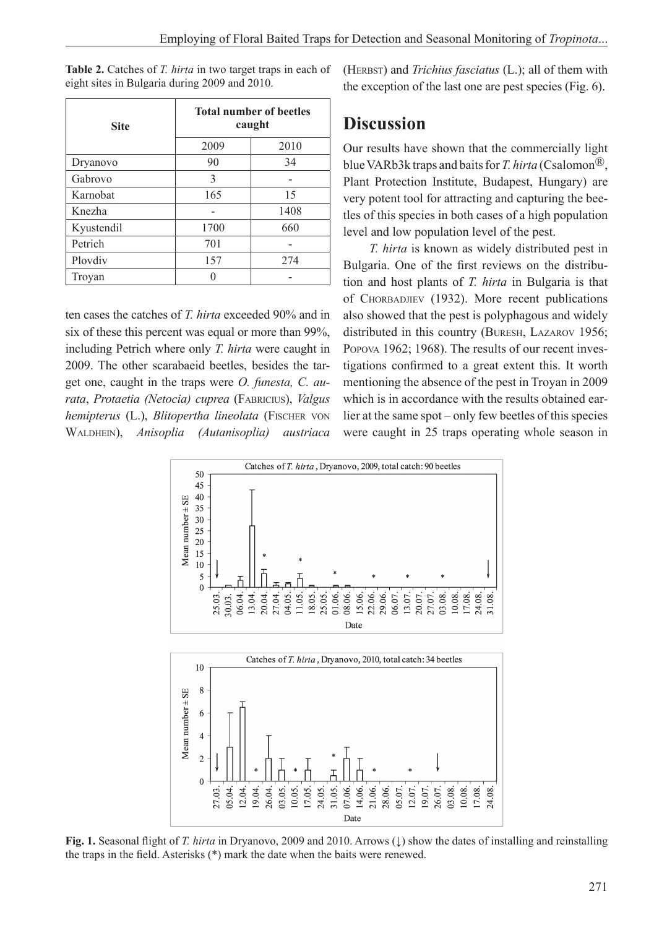| <b>Site</b> | <b>Total number of beetles</b><br>caught |      |  |
|-------------|------------------------------------------|------|--|
|             | 2009                                     | 2010 |  |
| Dryanovo    | 90                                       | 34   |  |
| Gabrovo     | 3                                        |      |  |
| Karnobat    | 165                                      | 15   |  |
| Knezha      |                                          | 1408 |  |
| Kyustendil  | 1700                                     | 660  |  |
| Petrich     | 701                                      |      |  |
| Ploydiy     | 157                                      | 274  |  |
| Troyan      |                                          |      |  |

**Table 2.** Catches of *T. hirta* in two target traps in each of eight sites in Bulgaria during 2009 and 2010.

ten cases the catches of *T. hirta* exceeded 90% and in six of these this percent was equal or more than 99%, including Petrich where only *T. hirta* were caught in 2009. The other scarabaeid beetles, besides the target one, caught in the traps were *O. funesta, C. aurata*, *Protaetia (Netocia) cuprea* (Fabricius), *Valgus hemipterus* (L.), *Blitopertha lineolata* (FISCHER VON Waldhein), *Anisoplia (Autanisoplia) austriaca*

05.04.

27.03.

19.04. 26.04.

 $12.04.$ 

(Herbst) and *Trichius fasciatus* (L.); all of them with the exception of the last one are pest species (Fig. 6).

### **Discussion**

Our results have shown that the commercially light blue VARb3k traps and baits for *T. hirta* (Csalomon®, Plant Protection Institute, Budapest, Hungary) are very potent tool for attracting and capturing the beetles of this species in both cases of a high population level and low population level of the pest.

*T. hirta* is known as widely distributed pest in Bulgaria. One of the first reviews on the distribution and host plants of *T. hirta* in Bulgaria is that of CHORBADJIEV (1932). More recent publications also showed that the pest is polyphagous and widely distributed in this country (Buresh, Lazarov 1956; Popova 1962; 1968). The results of our recent investigations confirmed to a great extent this. It worth mentioning the absence of the pest in Troyan in 2009 which is in accordance with the results obtained earlier at the same spot – only few beetles of this species were caught in 25 traps operating whole season in



**Fig. 1.** Seasonal flight of *T. hirta* in Dryanovo, 2009 and 2010. Arrows (↓) show the dates of installing and reinstalling the traps in the field. Asterisks (\*) mark the date when the baits were renewed.

Date

31.05. 07.06. 14.06. 21.06.

24.05.

05.07. 12.07. 19.07. 26.07. 03.08.

28.06.

 $17.08.$ 

24.08.

 $10.08.$ 

 $17.05.$ 

03.05. 10.05.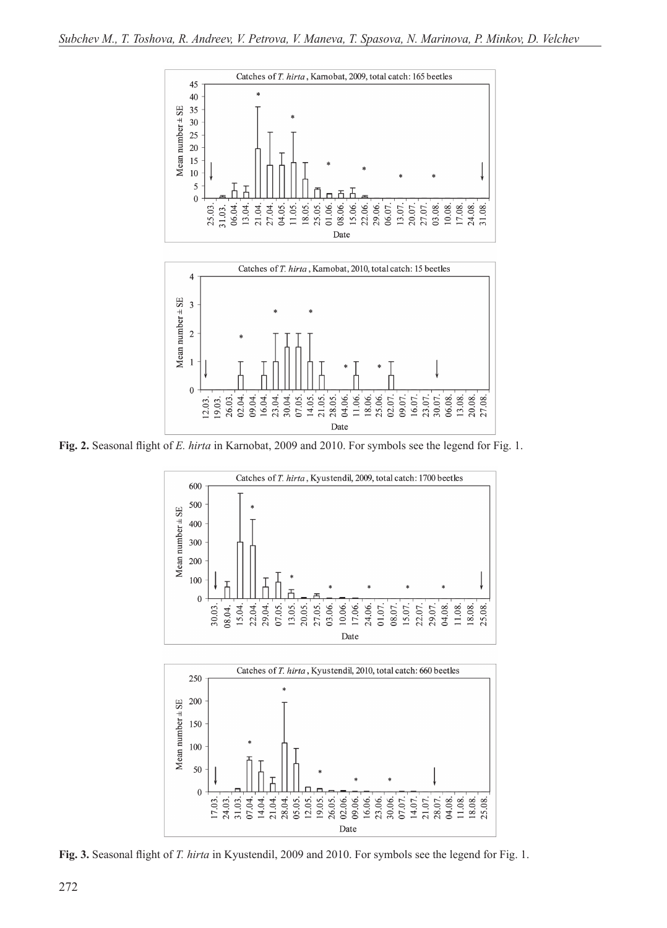



**Fig. 2.** Seasonal flight of *E. hirta* in Karnobat, 2009 and 2010. For symbols see the legend for Fig. 1.





**Fig. 3.** Seasonal flight of *T. hirta* in Kyustendil, 2009 and 2010. For symbols see the legend for Fig. 1.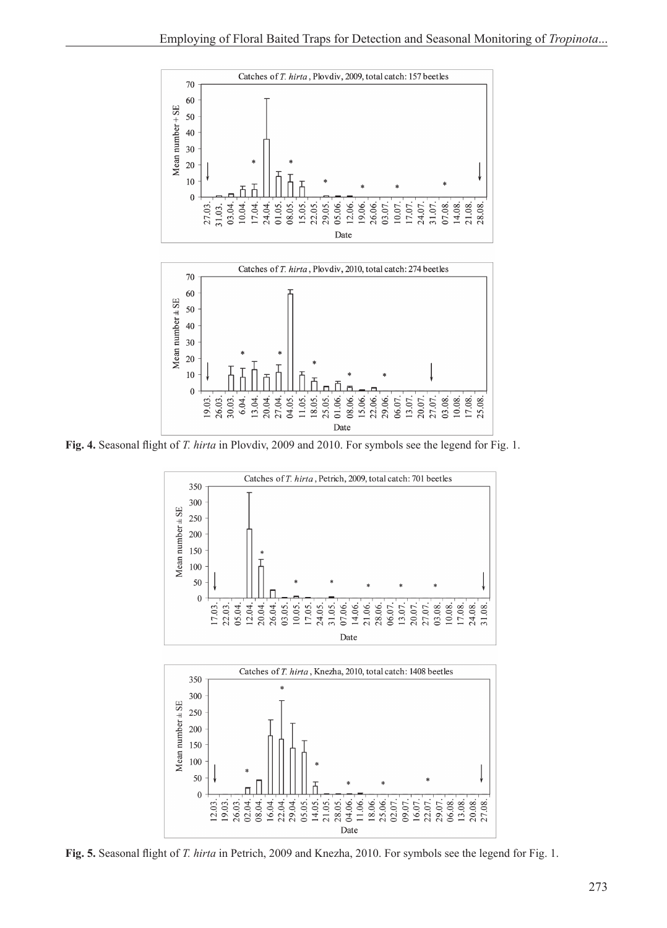



**Fig. 4.** Seasonal flight of *T. hirta* in Plovdiv, 2009 and 2010. For symbols see the legend for Fig. 1.



**Fig. 5.** Seasonal flight of *T. hirta* in Petrich, 2009 and Knezha, 2010. For symbols see the legend for Fig. 1.

22.04. 29.04. 05.05. 14.05. 04.06.

Date

02.07. 16.07. 29.07. 06.08. 13.08. 20.08. 27.08.

22.07 09.07

21.05. 28.05. 11.06. 18.06. 25.06.

 $\overline{0}$ 

12.03. 19.03. 26.03. 02.04. 08.04. 16.04.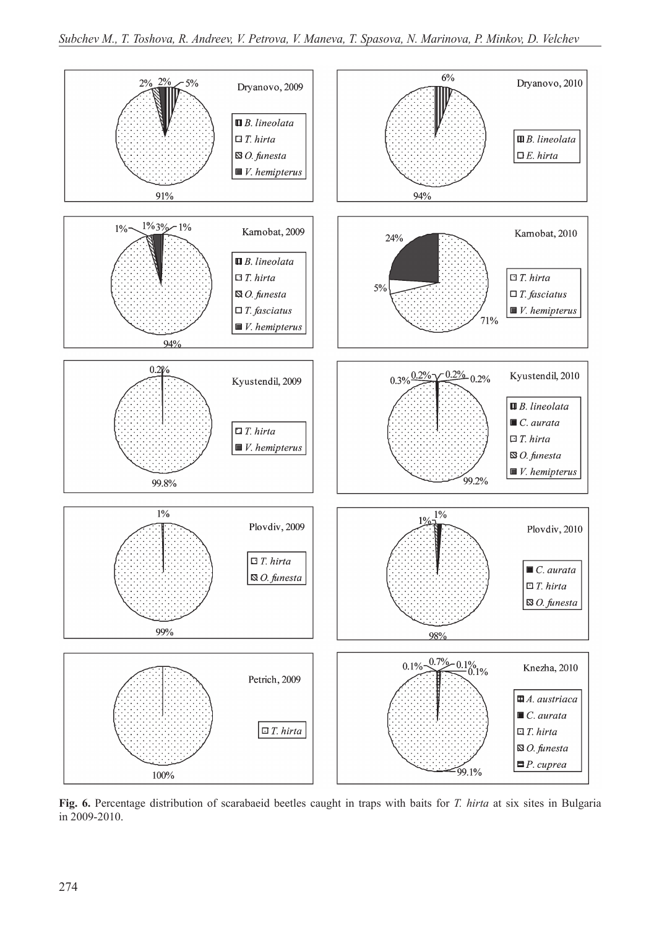

**Fig. 6.** Percentage distribution of scarabaeid beetles caught in traps with baits for *T. hirta* at six sites in Bulgaria in 2009-2010.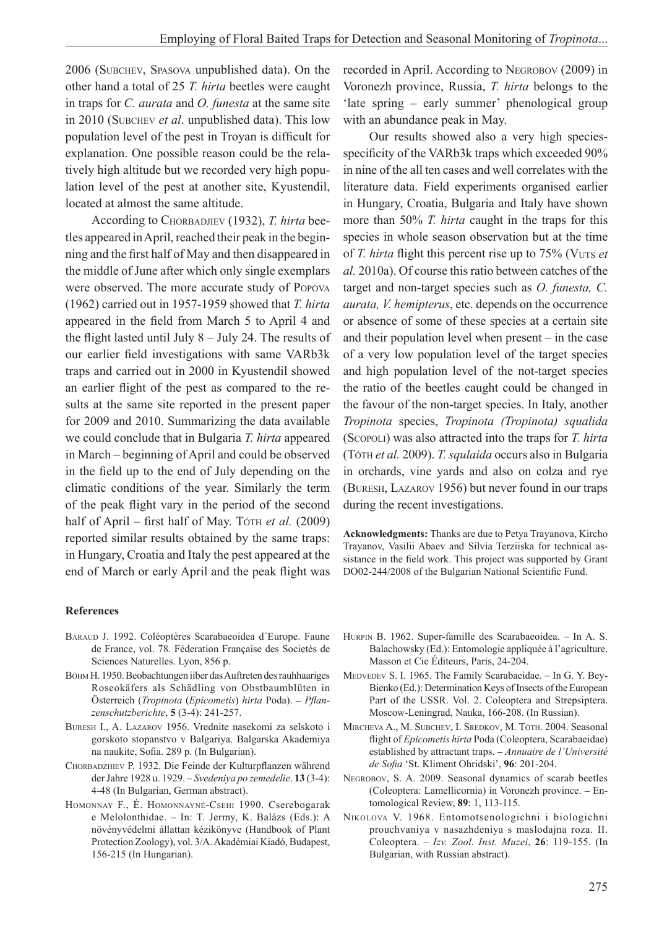2006 (Subchev, Spasova unpublished data). On the other hand a total of 25 *T. hirta* beetles were caught in traps for *C. aurata* and *O. funesta* at the same site in 2010 (Subchev *et al*. unpublished data). This low population level of the pest in Troyan is difficult for explanation. One possible reason could be the relatively high altitude but we recorded very high population level of the pest at another site, Kyustendil, located at almost the same altitude.

According to CHORBADJIEV (1932), *T. hirta* beetles appeared in April, reached their peak in the beginning and the first half of May and then disappeared in the middle of June after which only single exemplars were observed. The more accurate study of Popova (1962) carried out in 1957-1959 showed that *T. hirta* appeared in the field from March 5 to April 4 and the flight lasted until July 8 – July 24. The results of our earlier field investigations with same VARb3k traps and carried out in 2000 in Kyustendil showed an earlier flight of the pest as compared to the results at the same site reported in the present paper for 2009 and 2010. Summarizing the data available we could conclude that in Bulgaria *T. hirta* appeared in March – beginning of April and could be observed in the field up to the end of July depending on the climatic conditions of the year. Similarly the term of the peak flight vary in the period of the second half of April – first half of May. Tóth *et al.* (2009) reported similar results obtained by the same traps: in Hungary, Croatia and Italy the pest appeared at the end of March or early April and the peak flight was recorded in April. According to Negrobov (2009) in Voronezh province, Russia, *T. hirta* belongs to the 'late spring – early summer' phenological group with an abundance peak in May.

Our results showed also a very high speciesspecificity of the VARb3k traps which exceeded 90% in nine of the all ten cases and well correlates with the literature data. Field experiments organised earlier in Hungary, Croatia, Bulgaria and Italy have shown more than 50% *T. hirta* caught in the traps for this species in whole season observation but at the time of *T. hirta* flight this percent rise up to 75% (Vuts *et al.* 2010a). Of course this ratio between catches of the target and non-target species such as *O. funesta, C. aurata, V. hemipterus*, etc. depends on the occurrence or absence of some of these species at a certain site and their population level when present – in the case of a very low population level of the target species and high population level of the not-target species the ratio of the beetles caught could be changed in the favour of the non-target species. In Italy, another *Tropinota* species, *Tropinota (Tropinota) squalida* (Scopoli) was also attracted into the traps for *T. hirta*  (Tóth *et al.* 2009). *T. squlaida* occurs also in Bulgaria in orchards, vine yards and also on colza and rye (Buresh, Lazarov 1956) but never found in our traps during the recent investigations.

**Acknowledgments:** Thanks are due to Petya Trayanova, Kircho Trayanov, Vasilii Abaev and Silvia Terziiska for technical assistance in the field work. This project was supported by Grant DO02-244/2008 of the Bulgarian National Scientific Fund.

#### **References**

- BARAUD J. 1992. Coléoptères Scarabaeoidea d'Europe. Faune de France, vol. 78. Féderation Française des Societés de Sciences Naturelles. Lyon, 856 p.
- Böhm H. 1950. Beobachtungen iiber das Auftreten des rauhhaariges Roseokäfers als Schädling von Obstbaumblüten in Österreich (*Tropinota* (*Epicometis*) *hirta* Poda). – *Pflanzenschutzberichte*, **5** (3-4): 241-257.
- Buresh I., A. Lazarov 1956. Vrednite nasekomi za selskoto i gorskoto stopanstvo v Balgariya. Balgarska Akademiya na naukite, Sofia. 289 p. (In Bulgarian).
- CHORBADZHIEV P. 1932. Die Feinde der Kulturpflanzen während der Jahre 1928 u. 1929. – *Svedeniya po zemedelie*. **13** (3-4): 4-48 (In Bulgarian, German abstract).
- HOMONNAY F., É. HOMONNAYNÉ-CSEHI 1990. Cserebogarak e Melolonthidae. – In: T. Jermy, K. Balázs (Eds.): A növényvédelmi állattan kézikönyve (Handbook of Plant Protection Zoology), vol. 3/A. Akadémiai Kiadó, Budapest, 156-215 (In Hungarian).
- Hurpin B. 1962. Super-famille des Scarabaeoidea. In A. S. Balachowsky (Ed.): Entomologie appliquée á l'agriculture. Masson et Cie Éditeurs, Paris, 24-204.
- Medvedev S. I. 1965. The Family Scarabaeidae. In G. Y. Bey-Bienko (Ed.): Determination Keys of Insects of the European Part of the USSR. Vol. 2. Coleoptera and Strepsiptera. Moscow-Leningrad, Nauka, 166-208. (In Russian).
- Mircheva A., M. Subchev, I. Sredkov, M. Tóth. 2004. Seasonal flight of *Epicometis hirta* Poda (Coleoptera, Scarabaeidae) established by attractant traps. – *Annuaire de l'Université de Sofia* 'St. Kliment Ohridski', **96**: 201-204.
- NEGROBOV, S. A. 2009. Seasonal dynamics of scarab beetles (Coleoptera: Lamellicornia) in Voronezh province. – Entomological Review, **89**: 1, 113-115.
- Nikolova V. 1968. Entomotsenologichni i biologichni prouchvaniya v nasazhdeniya s maslodajna roza. II. Coleoptera. – *Izv. Zool. Inst. Muzei*, **26**: 119-155. (In Bulgarian, with Russian abstract).